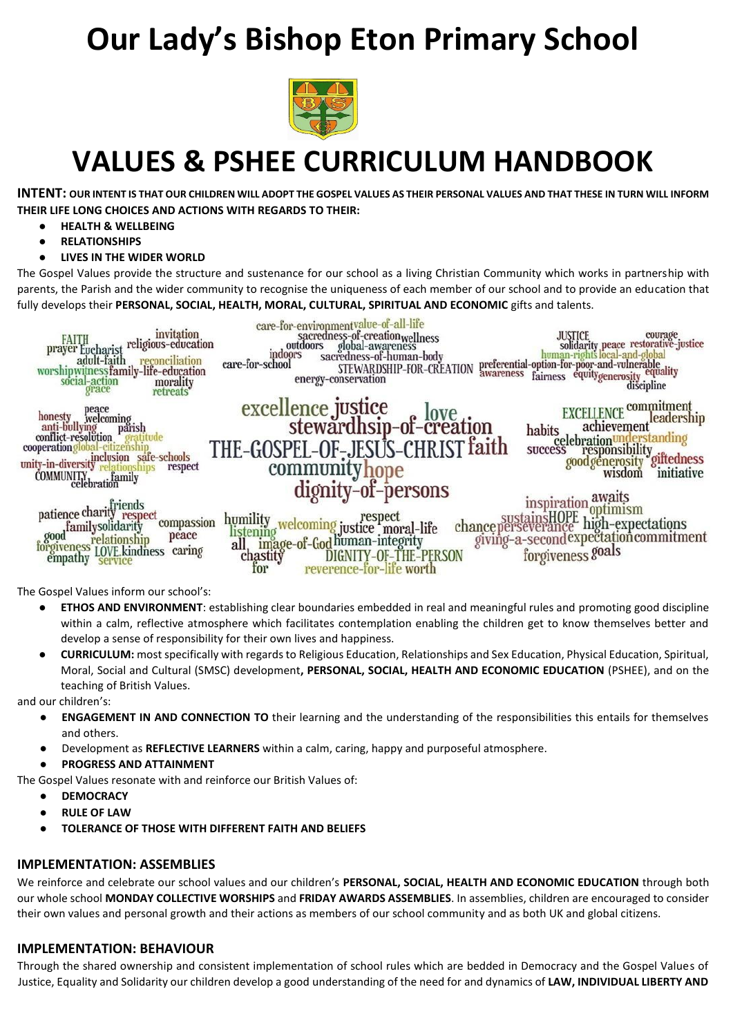# **Our Lady's Bishop Eton Primary School**



## **VALUES & PSHEE CURRICULUM HANDBOOK**

**INTENT: OUR INTENT IS THAT OUR CHILDREN WILL ADOPT THE GOSPEL VALUES AS THEIR PERSONAL VALUES AND THAT THESE IN TURN WILL INFORM THEIR LIFE LONG CHOICES AND ACTIONS WITH REGARDS TO THEIR:**

- **HEALTH & WELLBEING**
- **RELATIONSHIPS**
- **LIVES IN THE WIDER WORLD**

The Gospel Values provide the structure and sustenance for our school as a living Christian Community which works in partnership with parents, the Parish and the wider community to recognise the uniqueness of each member of our school and to provide an education that fully develops their **PERSONAL, SOCIAL, HEALTH, MORAL, CULTURAL, SPIRITUAL AND ECONOMIC** gifts and talents.



The Gospel Values inform our school's:

- **ETHOS AND ENVIRONMENT**: establishing clear boundaries embedded in real and meaningful rules and promoting good discipline within a calm, reflective atmosphere which facilitates contemplation enabling the children get to know themselves better and develop a sense of responsibility for their own lives and happiness.
- **CURRICULUM:** most specifically with regards to Religious Education, Relationships and Sex Education, Physical Education, Spiritual, Moral, Social and Cultural (SMSC) development**, PERSONAL, SOCIAL, HEALTH AND ECONOMIC EDUCATION** (PSHEE), and on the teaching of British Values.

and our children's:

- **ENGAGEMENT IN AND CONNECTION TO** their learning and the understanding of the responsibilities this entails for themselves and others.
- Development as **REFLECTIVE LEARNERS** within a calm, caring, happy and purposeful atmosphere.
- **PROGRESS AND ATTAINMENT**

The Gospel Values resonate with and reinforce our British Values of:

- **DEMOCRACY**
- **RULE OF LAW**
- **TOLERANCE OF THOSE WITH DIFFERENT FAITH AND BELIEFS**

#### **IMPLEMENTATION: ASSEMBLIES**

We reinforce and celebrate our school values and our children's **PERSONAL, SOCIAL, HEALTH AND ECONOMIC EDUCATION** through both our whole school **MONDAY COLLECTIVE WORSHIPS** and **FRIDAY AWARDS ASSEMBLIES**. In assemblies, children are encouraged to consider their own values and personal growth and their actions as members of our school community and as both UK and global citizens.

#### **IMPLEMENTATION: BEHAVIOUR**

Through the shared ownership and consistent implementation of school rules which are bedded in Democracy and the Gospel Values of Justice, Equality and Solidarity our children develop a good understanding of the need for and dynamics of **LAW, INDIVIDUAL LIBERTY AND**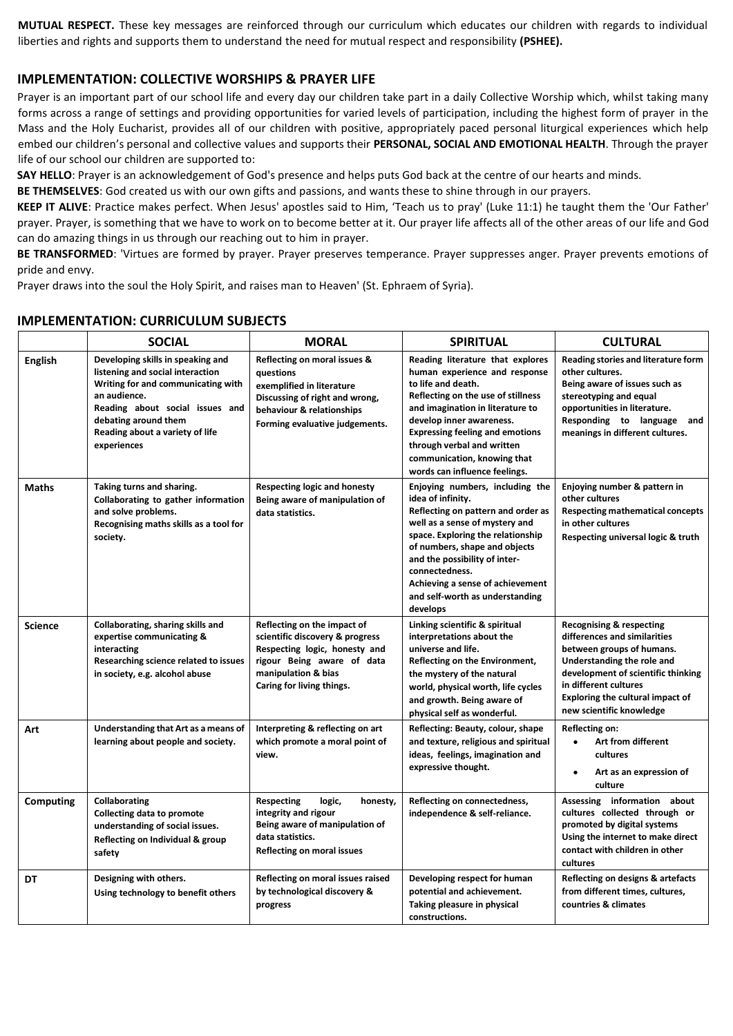**MUTUAL RESPECT.** These key messages are reinforced through our curriculum which educates our children with regards to individual liberties and rights and supports them to understand the need for mutual respect and responsibility **(PSHEE).**

#### **IMPLEMENTATION: COLLECTIVE WORSHIPS & PRAYER LIFE**

Prayer is an important part of our school life and every day our children take part in a daily Collective Worship which, whilst taking many forms across a range of settings and providing opportunities for varied levels of participation, including the highest form of prayer in the Mass and the Holy Eucharist, provides all of our children with positive, appropriately paced personal liturgical experiences which help embed our children's personal and collective values and supports their **PERSONAL, SOCIAL AND EMOTIONAL HEALTH**. Through the prayer life of our school our children are supported to:

**SAY HELLO**: Prayer is an acknowledgement of God's presence and helps puts God back at the centre of our hearts and minds.

**BE THEMSELVES**: God created us with our own gifts and passions, and wants these to shine through in our prayers.

**KEEP IT ALIVE**: Practice makes perfect. When Jesus' apostles said to Him, 'Teach us to pray' (Luke 11:1) he taught them the 'Our Father' prayer. Prayer, is something that we have to work on to become better at it. Our prayer life affects all of the other areas of our life and God can do amazing things in us through our reaching out to him in prayer.

**BE TRANSFORMED**: 'Virtues are formed by prayer. Prayer preserves temperance. Prayer suppresses anger. Prayer prevents emotions of pride and envy.

Prayer draws into the soul the Holy Spirit, and raises man to Heaven' (St. Ephraem of Syria).

|                | <b>SOCIAL</b>                                                                                                                                                                                                                            | <b>MORAL</b>                                                                                                                                                                      | <b>SPIRITUAL</b>                                                                                                                                                                                                                                                                                                                         | <b>CULTURAL</b>                                                                                                                                                                                                                                                      |  |
|----------------|------------------------------------------------------------------------------------------------------------------------------------------------------------------------------------------------------------------------------------------|-----------------------------------------------------------------------------------------------------------------------------------------------------------------------------------|------------------------------------------------------------------------------------------------------------------------------------------------------------------------------------------------------------------------------------------------------------------------------------------------------------------------------------------|----------------------------------------------------------------------------------------------------------------------------------------------------------------------------------------------------------------------------------------------------------------------|--|
| <b>English</b> | Developing skills in speaking and<br>listening and social interaction<br>Writing for and communicating with<br>an audience.<br>Reading about social issues and<br>debating around them<br>Reading about a variety of life<br>experiences | Reflecting on moral issues &<br>auestions<br>exemplified in literature<br>Discussing of right and wrong,<br>behaviour & relationships<br>Forming evaluative judgements.           | Reading literature that explores<br>human experience and response<br>to life and death.<br>Reflecting on the use of stillness<br>and imagination in literature to<br>develop inner awareness.<br><b>Expressing feeling and emotions</b><br>through verbal and written<br>communication, knowing that<br>words can influence feelings.    | Reading stories and literature form<br>other cultures.<br>Being aware of issues such as<br>stereotyping and equal<br>opportunities in literature.<br>Responding to language and<br>meanings in different cultures.                                                   |  |
| <b>Maths</b>   | Taking turns and sharing.<br>Collaborating to gather information<br>and solve problems.<br>Recognising maths skills as a tool for<br>society.                                                                                            | <b>Respecting logic and honesty</b><br>Being aware of manipulation of<br>data statistics.                                                                                         | Enjoying numbers, including the<br>idea of infinity.<br>Reflecting on pattern and order as<br>well as a sense of mystery and<br>space. Exploring the relationship<br>of numbers, shape and objects<br>and the possibility of inter-<br>connectedness.<br>Achieving a sense of achievement<br>and self-worth as understanding<br>develops | Enjoying number & pattern in<br>other cultures<br><b>Respecting mathematical concepts</b><br>in other cultures<br>Respecting universal logic & truth                                                                                                                 |  |
| <b>Science</b> | Collaborating, sharing skills and<br>expertise communicating &<br>interacting<br>Researching science related to issues<br>in society, e.g. alcohol abuse                                                                                 | Reflecting on the impact of<br>scientific discovery & progress<br>Respecting logic, honesty and<br>rigour Being aware of data<br>manipulation & bias<br>Caring for living things. | Linking scientific & spiritual<br>interpretations about the<br>universe and life.<br>Reflecting on the Environment,<br>the mystery of the natural<br>world, physical worth, life cycles<br>and growth. Being aware of<br>physical self as wonderful.                                                                                     | <b>Recognising &amp; respecting</b><br>differences and similarities<br>between groups of humans.<br>Understanding the role and<br>development of scientific thinking<br>in different cultures<br><b>Exploring the cultural impact of</b><br>new scientific knowledge |  |
| Art            | Understanding that Art as a means of<br>learning about people and society.                                                                                                                                                               | Interpreting & reflecting on art<br>which promote a moral point of<br>view.                                                                                                       | Reflecting: Beauty, colour, shape<br>and texture, religious and spiritual<br>ideas, feelings, imagination and<br>expressive thought.                                                                                                                                                                                                     | Reflecting on:<br>Art from different<br>cultures<br>Art as an expression of<br>$\bullet$<br>culture                                                                                                                                                                  |  |
| Computing      | Collaborating<br><b>Collecting data to promote</b><br>understanding of social issues.<br>Reflecting on Individual & group<br>safety                                                                                                      | Respecting<br>logic,<br>honesty,<br>integrity and rigour<br>Being aware of manipulation of<br>data statistics.<br>Reflecting on moral issues                                      | Reflecting on connectedness,<br>independence & self-reliance.                                                                                                                                                                                                                                                                            | Assessing information about<br>cultures collected through or<br>promoted by digital systems<br>Using the internet to make direct<br>contact with children in other<br>cultures                                                                                       |  |
| DT             | Designing with others.<br>Using technology to benefit others                                                                                                                                                                             | Reflecting on moral issues raised<br>by technological discovery &<br>progress                                                                                                     | Developing respect for human<br>potential and achievement.<br>Taking pleasure in physical<br>constructions.                                                                                                                                                                                                                              | Reflecting on designs & artefacts<br>from different times, cultures,<br>countries & climates                                                                                                                                                                         |  |

#### **IMPLEMENTATION: CURRICULUM SUBJECTS**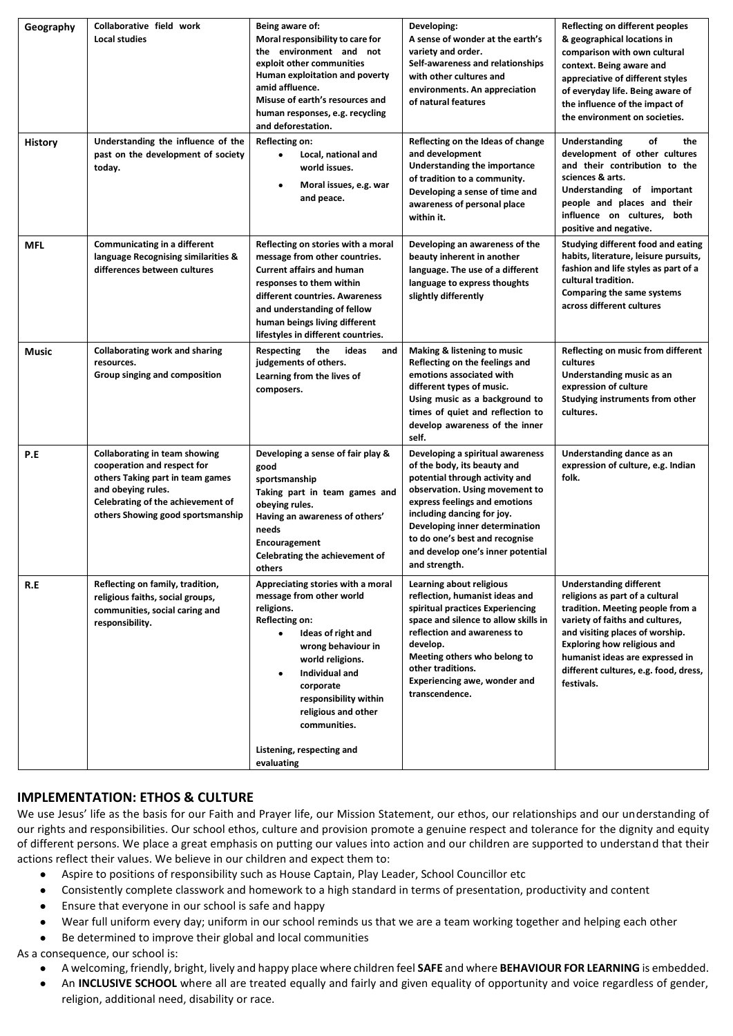| Geography      | Collaborative field work                                                                                                                                                                                | Being aware of:                                                                                                                                                                                                                                                                                                      | Developing:                                                                                                                                                                                                                                                                                                                  | <b>Reflecting on different peoples</b>                                                                                                                                                                                                                                                                      |
|----------------|---------------------------------------------------------------------------------------------------------------------------------------------------------------------------------------------------------|----------------------------------------------------------------------------------------------------------------------------------------------------------------------------------------------------------------------------------------------------------------------------------------------------------------------|------------------------------------------------------------------------------------------------------------------------------------------------------------------------------------------------------------------------------------------------------------------------------------------------------------------------------|-------------------------------------------------------------------------------------------------------------------------------------------------------------------------------------------------------------------------------------------------------------------------------------------------------------|
|                | <b>Local studies</b>                                                                                                                                                                                    | Moral responsibility to care for<br>the environment and not<br>exploit other communities<br>Human exploitation and poverty<br>amid affluence.<br>Misuse of earth's resources and<br>human responses, e.g. recycling<br>and deforestation.                                                                            | A sense of wonder at the earth's<br>variety and order.<br>Self-awareness and relationships<br>with other cultures and<br>environments. An appreciation<br>of natural features                                                                                                                                                | & geographical locations in<br>comparison with own cultural<br>context. Being aware and<br>appreciative of different styles<br>of everyday life. Being aware of<br>the influence of the impact of<br>the environment on societies.                                                                          |
| <b>History</b> | Understanding the influence of the<br>past on the development of society<br>today.                                                                                                                      | Reflecting on:<br>Local, national and<br>$\bullet$<br>world issues.<br>Moral issues, e.g. war<br>$\bullet$<br>and peace.                                                                                                                                                                                             | Reflecting on the Ideas of change<br>and development<br>Understanding the importance<br>of tradition to a community.<br>Developing a sense of time and<br>awareness of personal place<br>within it.                                                                                                                          | Understanding<br>of<br>the<br>development of other cultures<br>and their contribution to the<br>sciences & arts.<br>Understanding of important<br>people and places and their<br>influence on cultures, both<br>positive and negative.                                                                      |
| MFL            | Communicating in a different<br>language Recognising similarities &<br>differences between cultures                                                                                                     | Reflecting on stories with a moral<br>message from other countries.<br><b>Current affairs and human</b><br>responses to them within<br>different countries. Awareness<br>and understanding of fellow<br>human beings living different<br>lifestyles in different countries.                                          | Developing an awareness of the<br>beauty inherent in another<br>language. The use of a different<br>language to express thoughts<br>slightly differently                                                                                                                                                                     | <b>Studying different food and eating</b><br>habits, literature, leisure pursuits,<br>fashion and life styles as part of a<br>cultural tradition.<br><b>Comparing the same systems</b><br>across different cultures                                                                                         |
| Music          | <b>Collaborating work and sharing</b><br>resources.<br>Group singing and composition                                                                                                                    | the<br>ideas<br>Respecting<br>and<br>judgements of others.<br>Learning from the lives of<br>composers.                                                                                                                                                                                                               | <b>Making &amp; listening to music</b><br>Reflecting on the feelings and<br>emotions associated with<br>different types of music.<br>Using music as a background to<br>times of quiet and reflection to<br>develop awareness of the inner<br>self.                                                                           | Reflecting on music from different<br>cultures<br>Understanding music as an<br>expression of culture<br>Studying instruments from other<br>cultures.                                                                                                                                                        |
| P.E            | <b>Collaborating in team showing</b><br>cooperation and respect for<br>others Taking part in team games<br>and obeying rules.<br>Celebrating of the achievement of<br>others Showing good sportsmanship | Developing a sense of fair play &<br>good<br>sportsmanship<br>Taking part in team games and<br>obeying rules.<br>Having an awareness of others'<br>needs<br>Encouragement<br>Celebrating the achievement of<br>others                                                                                                | Developing a spiritual awareness<br>of the body, its beauty and<br>potential through activity and<br>observation. Using movement to<br>express feelings and emotions<br>including dancing for joy.<br>Developing inner determination<br>to do one's best and recognise<br>and develop one's inner potential<br>and strength. | Understanding dance as an<br>expression of culture, e.g. Indian<br>folk.                                                                                                                                                                                                                                    |
| R.E            | Reflecting on family, tradition,<br>religious faiths, social groups,<br>communities, social caring and<br>responsibility.                                                                               | Appreciating stories with a moral<br>message from other world<br>religions.<br>Reflecting on:<br>Ideas of right and<br>$\bullet$<br>wrong behaviour in<br>world religions.<br>Individual and<br>corporate<br>responsibility within<br>religious and other<br>communities.<br>Listening, respecting and<br>evaluating | Learning about religious<br>reflection, humanist ideas and<br>spiritual practices Experiencing<br>space and silence to allow skills in<br>reflection and awareness to<br>develop.<br>Meeting others who belong to<br>other traditions.<br><b>Experiencing awe, wonder and</b><br>transcendence.                              | <b>Understanding different</b><br>religions as part of a cultural<br>tradition. Meeting people from a<br>variety of faiths and cultures,<br>and visiting places of worship.<br><b>Exploring how religious and</b><br>humanist ideas are expressed in<br>different cultures, e.g. food, dress,<br>festivals. |

#### **IMPLEMENTATION: ETHOS & CULTURE**

We use Jesus' life as the basis for our Faith and Prayer life, our Mission Statement, our ethos, our relationships and our understanding of our rights and responsibilities. Our school ethos, culture and provision promote a genuine respect and tolerance for the dignity and equity of different persons. We place a great emphasis on putting our values into action and our children are supported to understand that their actions reflect their values. We believe in our children and expect them to:

- Aspire to positions of responsibility such as House Captain, Play Leader, School Councillor etc
- Consistently complete classwork and homework to a high standard in terms of presentation, productivity and content
- Ensure that everyone in our school is safe and happy
- Wear full uniform every day; uniform in our school reminds us that we are a team working together and helping each other
- Be determined to improve their global and local communities

As a consequence, our school is:

- A welcoming, friendly, bright, lively and happy place where children feel **SAFE** and where **BEHAVIOUR FOR LEARNING** is embedded.
- An **INCLUSIVE SCHOOL** where all are treated equally and fairly and given equality of opportunity and voice regardless of gender, religion, additional need, disability or race.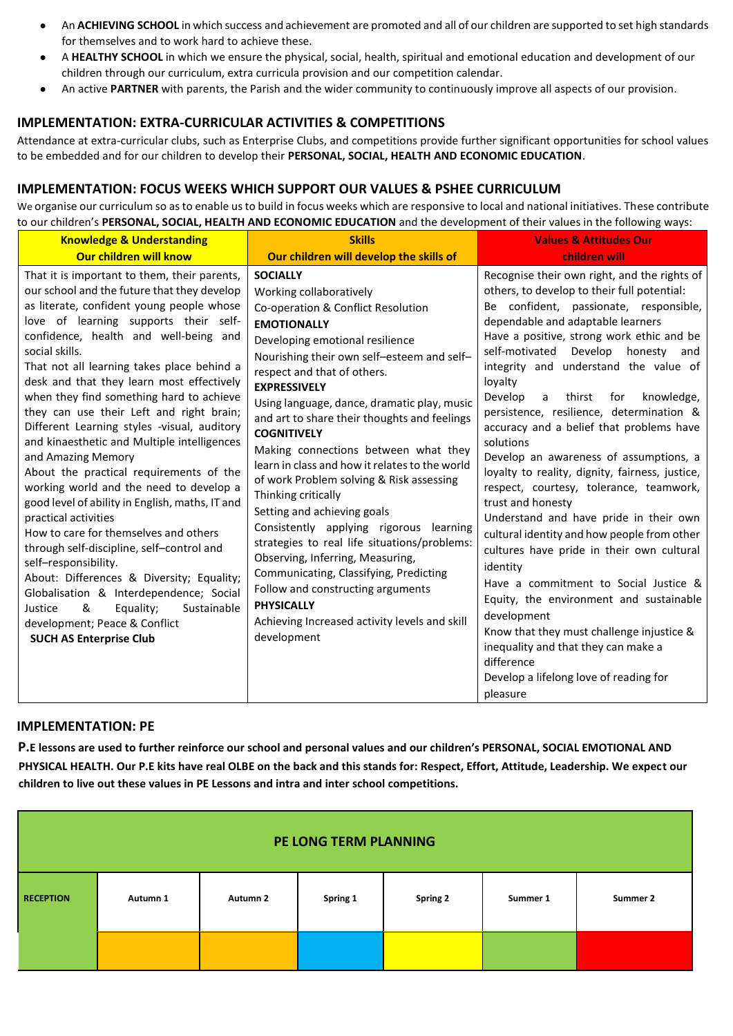- An **ACHIEVING SCHOOL** in which success and achievement are promoted and all of our children are supported to set high standards for themselves and to work hard to achieve these.
- A **HEALTHY SCHOOL** in which we ensure the physical, social, health, spiritual and emotional education and development of our children through our curriculum, extra curricula provision and our competition calendar.
- An active **PARTNER** with parents, the Parish and the wider community to continuously improve all aspects of our provision.

#### **IMPLEMENTATION: EXTRA-CURRICULAR ACTIVITIES & COMPETITIONS**

Attendance at extra-curricular clubs, such as Enterprise Clubs, and competitions provide further significant opportunities for school values to be embedded and for our children to develop their **PERSONAL, SOCIAL, HEALTH AND ECONOMIC EDUCATION**.

#### **IMPLEMENTATION: FOCUS WEEKS WHICH SUPPORT OUR VALUES & PSHEE CURRICULUM**

We organise our curriculum so as to enable us to build in focus weeks which are responsive to local and national initiatives. These contribute to our children's **PERSONAL, SOCIAL, HEALTH AND ECONOMIC EDUCATION** and the development of their values in the following ways:

| <b>Knowledge &amp; Understanding</b>                                                                                                                                                                                                                                                                                                                                                                                                                                                                                                                                                                                                                                                                                                                                                                                                                                                                                                                                                                                                      | <b>Skills</b>                                                                                                                                                                                                                                                                                                                                                                                                                                                                                                                                                                                                                                                                                                                                                                                                                                                     | <b>Values &amp; Attitudes Our</b>                                                                                                                                                                                                                                                                                                                                                                                                                                                                                                                                                                                                                                                                                                                                                                                                                                                                                                                                                                                                                             |
|-------------------------------------------------------------------------------------------------------------------------------------------------------------------------------------------------------------------------------------------------------------------------------------------------------------------------------------------------------------------------------------------------------------------------------------------------------------------------------------------------------------------------------------------------------------------------------------------------------------------------------------------------------------------------------------------------------------------------------------------------------------------------------------------------------------------------------------------------------------------------------------------------------------------------------------------------------------------------------------------------------------------------------------------|-------------------------------------------------------------------------------------------------------------------------------------------------------------------------------------------------------------------------------------------------------------------------------------------------------------------------------------------------------------------------------------------------------------------------------------------------------------------------------------------------------------------------------------------------------------------------------------------------------------------------------------------------------------------------------------------------------------------------------------------------------------------------------------------------------------------------------------------------------------------|---------------------------------------------------------------------------------------------------------------------------------------------------------------------------------------------------------------------------------------------------------------------------------------------------------------------------------------------------------------------------------------------------------------------------------------------------------------------------------------------------------------------------------------------------------------------------------------------------------------------------------------------------------------------------------------------------------------------------------------------------------------------------------------------------------------------------------------------------------------------------------------------------------------------------------------------------------------------------------------------------------------------------------------------------------------|
| <b>Our children will know</b>                                                                                                                                                                                                                                                                                                                                                                                                                                                                                                                                                                                                                                                                                                                                                                                                                                                                                                                                                                                                             | Our children will develop the skills of                                                                                                                                                                                                                                                                                                                                                                                                                                                                                                                                                                                                                                                                                                                                                                                                                           | children will                                                                                                                                                                                                                                                                                                                                                                                                                                                                                                                                                                                                                                                                                                                                                                                                                                                                                                                                                                                                                                                 |
| That it is important to them, their parents,<br>our school and the future that they develop<br>as literate, confident young people whose<br>love of learning supports their self-<br>confidence, health and well-being and<br>social skills.<br>That not all learning takes place behind a<br>desk and that they learn most effectively<br>when they find something hard to achieve<br>they can use their Left and right brain;<br>Different Learning styles -visual, auditory<br>and kinaesthetic and Multiple intelligences<br>and Amazing Memory<br>About the practical requirements of the<br>working world and the need to develop a<br>good level of ability in English, maths, IT and<br>practical activities<br>How to care for themselves and others<br>through self-discipline, self-control and<br>self-responsibility.<br>About: Differences & Diversity; Equality;<br>Globalisation & Interdependence; Social<br>Equality;<br>Sustainable<br>Justice<br>&<br>development; Peace & Conflict<br><b>SUCH AS Enterprise Club</b> | <b>SOCIALLY</b><br>Working collaboratively<br>Co-operation & Conflict Resolution<br><b>EMOTIONALLY</b><br>Developing emotional resilience<br>Nourishing their own self-esteem and self-<br>respect and that of others.<br><b>EXPRESSIVELY</b><br>Using language, dance, dramatic play, music<br>and art to share their thoughts and feelings<br><b>COGNITIVELY</b><br>Making connections between what they<br>learn in class and how it relates to the world<br>of work Problem solving & Risk assessing<br>Thinking critically<br>Setting and achieving goals<br>Consistently applying rigorous learning<br>strategies to real life situations/problems:<br>Observing, Inferring, Measuring,<br>Communicating, Classifying, Predicting<br>Follow and constructing arguments<br><b>PHYSICALLY</b><br>Achieving Increased activity levels and skill<br>development | Recognise their own right, and the rights of<br>others, to develop to their full potential:<br>Be confident, passionate, responsible,<br>dependable and adaptable learners<br>Have a positive, strong work ethic and be<br>self-motivated Develop honesty<br>and<br>integrity and understand the value of<br>loyalty<br>Develop<br>thirst<br>knowledge,<br>for<br>$\mathsf{a}$<br>persistence, resilience, determination &<br>accuracy and a belief that problems have<br>solutions<br>Develop an awareness of assumptions, a<br>loyalty to reality, dignity, fairness, justice,<br>respect, courtesy, tolerance, teamwork,<br>trust and honesty<br>Understand and have pride in their own<br>cultural identity and how people from other<br>cultures have pride in their own cultural<br>identity<br>Have a commitment to Social Justice &<br>Equity, the environment and sustainable<br>development<br>Know that they must challenge injustice &<br>inequality and that they can make a<br>difference<br>Develop a lifelong love of reading for<br>pleasure |

#### **IMPLEMENTATION: PE**

**P.E lessons are used to further reinforce our school and personal values and our children's PERSONAL, SOCIAL EMOTIONAL AND PHYSICAL HEALTH. Our P.E kits have real OLBE on the back and this stands for: Respect, Effort, Attitude, Leadership. We expect our children to live out these values in PE Lessons and intra and inter school competitions.**

| PE LONG TERM PLANNING |          |          |          |                 |          |          |
|-----------------------|----------|----------|----------|-----------------|----------|----------|
| <b>RECEPTION</b>      | Autumn 1 | Autumn 2 | Spring 1 | <b>Spring 2</b> | Summer 1 | Summer 2 |
|                       |          |          |          |                 |          |          |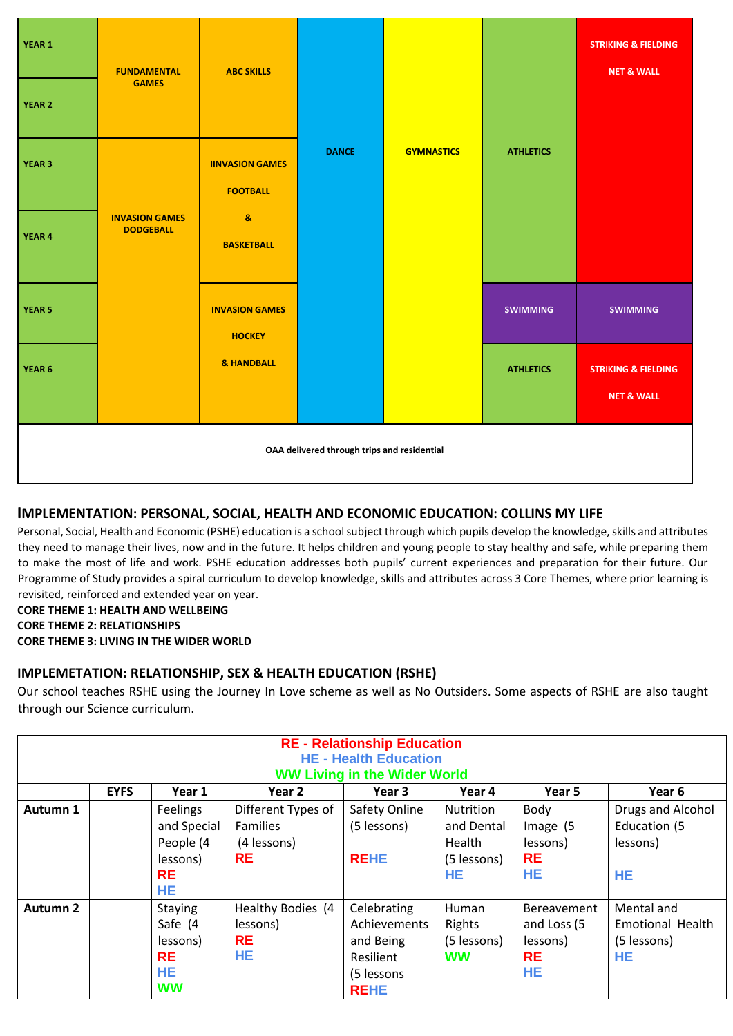| YEAR 1                                      | <b>FUNDAMENTAL</b><br><b>GAMES</b>        | <b>ABC SKILLS</b>                                    |              |                   |                  | <b>STRIKING &amp; FIELDING</b><br><b>NET &amp; WALL</b> |
|---------------------------------------------|-------------------------------------------|------------------------------------------------------|--------------|-------------------|------------------|---------------------------------------------------------|
| <b>YEAR 2</b><br><b>YEAR 3</b>              |                                           | <b>IINVASION GAMES</b>                               | <b>DANCE</b> | <b>GYMNASTICS</b> | <b>ATHLETICS</b> |                                                         |
| YEAR 4                                      | <b>INVASION GAMES</b><br><b>DODGEBALL</b> | <b>FOOTBALL</b><br>$\mathbf{a}$<br><b>BASKETBALL</b> |              |                   |                  |                                                         |
| <b>YEAR 5</b>                               |                                           | <b>INVASION GAMES</b><br><b>HOCKEY</b>               |              |                   | <b>SWIMMING</b>  | <b>SWIMMING</b>                                         |
| YEAR 6                                      |                                           | & HANDBALL                                           |              |                   | <b>ATHLETICS</b> | <b>STRIKING &amp; FIELDING</b><br><b>NET &amp; WALL</b> |
| OAA delivered through trips and residential |                                           |                                                      |              |                   |                  |                                                         |

### **IMPLEMENTATION: PERSONAL, SOCIAL, HEALTH AND ECONOMIC EDUCATION: COLLINS MY LIFE**

Personal, Social, Health and Economic (PSHE) education is a school subject through which pupils develop the knowledge, skills and attributes they need to manage their lives, now and in the future. It helps children and young people to stay healthy and safe, while preparing them to make the most of life and work. PSHE education addresses both pupils' current experiences and preparation for their future. Our Programme of Study provides a spiral curriculum to develop knowledge, skills and attributes across 3 Core Themes, where prior learning is revisited, reinforced and extended year on year.

#### **CORE THEME 1: HEALTH AND WELLBEING**

**CORE THEME 2: RELATIONSHIPS** 

**CORE THEME 3: LIVING IN THE WIDER WORLD**

#### **IMPLEMETATION: RELATIONSHIP, SEX & HEALTH EDUCATION (RSHE)**

Our school teaches RSHE using the Journey In Love scheme as well as No Outsiders. Some aspects of RSHE are also taught through our Science curriculum.

| <b>RE - Relationship Education</b><br><b>HE - Health Education</b> |             |                |                    |                                     |                  |             |                         |
|--------------------------------------------------------------------|-------------|----------------|--------------------|-------------------------------------|------------------|-------------|-------------------------|
|                                                                    |             |                |                    | <b>WW Living in the Wider World</b> |                  |             |                         |
|                                                                    | <b>EYFS</b> | Year 1         | Year 2             | Year 3                              | Year 4           | Year 5      | Year 6                  |
| Autumn 1                                                           |             | Feelings       | Different Types of | Safety Online                       | <b>Nutrition</b> | Body        | Drugs and Alcohol       |
|                                                                    |             | and Special    | <b>Families</b>    | (5 lessons)                         | and Dental       | Image (5    | Education (5            |
|                                                                    |             | People (4      | (4 lessons)        |                                     | Health           | lessons)    | lessons)                |
|                                                                    |             | lessons)       | <b>RE</b>          | <b>REHE</b>                         | (5 lessons)      | <b>RE</b>   |                         |
|                                                                    |             | <b>RE</b>      |                    |                                     | <b>HE</b>        | HE          | <b>HE</b>               |
|                                                                    |             | <b>HE</b>      |                    |                                     |                  |             |                         |
| <b>Autumn 2</b>                                                    |             | <b>Staying</b> | Healthy Bodies (4  | Celebrating                         | Human            | Bereavement | Mental and              |
|                                                                    |             | Safe (4        | lessons)           | Achievements                        | Rights           | and Loss (5 | <b>Emotional Health</b> |
|                                                                    |             | lessons)       | <b>RE</b>          | and Being                           | (5 lessons)      | lessons)    | (5 lessons)             |
|                                                                    |             | <b>RE</b>      | HE                 | Resilient                           | <b>WW</b>        | <b>RE</b>   | <b>HE</b>               |
|                                                                    |             | <b>HE</b>      |                    | (5 lessons                          |                  | <b>HE</b>   |                         |
|                                                                    |             | <b>WW</b>      |                    | <b>REHE</b>                         |                  |             |                         |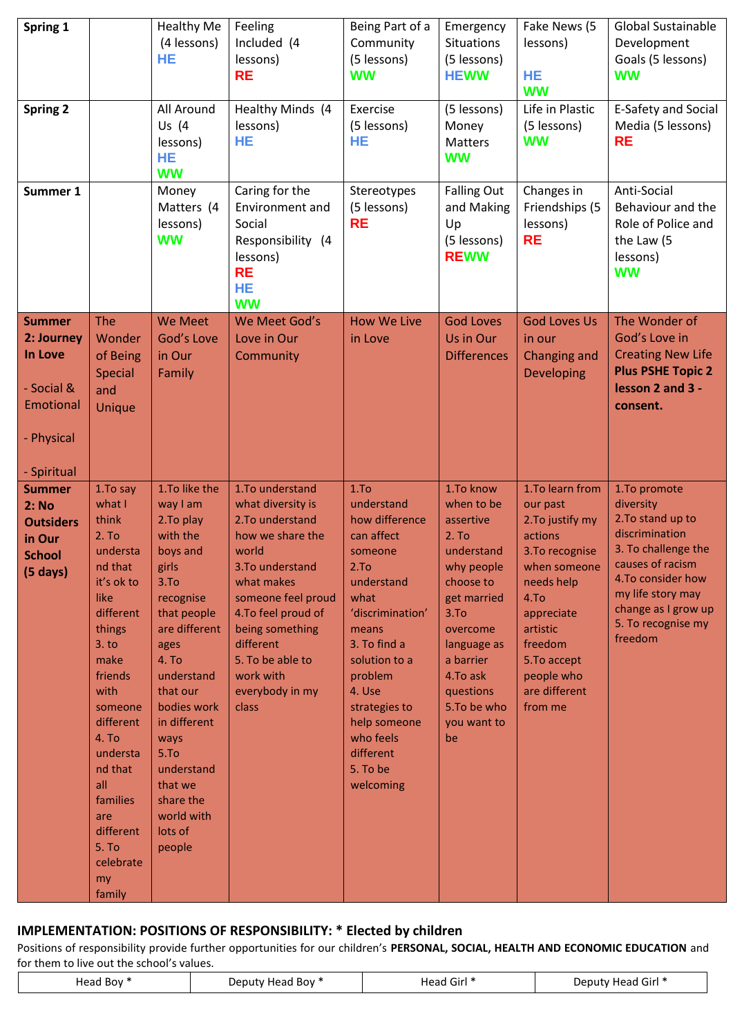| Spring 1                                                                                         |                                                                                                                                                                                                                                                                                                | <b>Healthy Me</b><br>(4 lessons)<br>HE                                                                                                                                                                                                                                                                                  | Feeling<br>Included (4<br>lessons)<br><b>RE</b>                                                                                                                                                                                                                   | Being Part of a<br>Community<br>(5 lessons)<br><b>WW</b>                                                                                                                                                                                                                       | Emergency<br><b>Situations</b><br>(5 lessons)<br><b>HEWW</b>                                                                                                                                                                   | Fake News (5<br>lessons)<br><b>HE</b><br><b>WW</b>                                                                                                                                                                | <b>Global Sustainable</b><br>Development<br>Goals (5 lessons)<br><b>WW</b>                                                                                                                                    |
|--------------------------------------------------------------------------------------------------|------------------------------------------------------------------------------------------------------------------------------------------------------------------------------------------------------------------------------------------------------------------------------------------------|-------------------------------------------------------------------------------------------------------------------------------------------------------------------------------------------------------------------------------------------------------------------------------------------------------------------------|-------------------------------------------------------------------------------------------------------------------------------------------------------------------------------------------------------------------------------------------------------------------|--------------------------------------------------------------------------------------------------------------------------------------------------------------------------------------------------------------------------------------------------------------------------------|--------------------------------------------------------------------------------------------------------------------------------------------------------------------------------------------------------------------------------|-------------------------------------------------------------------------------------------------------------------------------------------------------------------------------------------------------------------|---------------------------------------------------------------------------------------------------------------------------------------------------------------------------------------------------------------|
| <b>Spring 2</b>                                                                                  |                                                                                                                                                                                                                                                                                                | All Around<br>Us (4<br>lessons)<br><b>HE</b><br><b>WW</b>                                                                                                                                                                                                                                                               | Healthy Minds (4<br>lessons)<br>HE                                                                                                                                                                                                                                | Exercise<br>(5 lessons)<br>HE                                                                                                                                                                                                                                                  | (5 lessons)<br>Money<br>Matters<br><b>WW</b>                                                                                                                                                                                   | Life in Plastic<br>(5 lessons)<br><b>WW</b>                                                                                                                                                                       | E-Safety and Social<br>Media (5 lessons)<br><b>RE</b>                                                                                                                                                         |
| Summer 1                                                                                         |                                                                                                                                                                                                                                                                                                | Money<br>Matters (4<br>lessons)<br><b>WW</b>                                                                                                                                                                                                                                                                            | Caring for the<br>Environment and<br>Social<br>Responsibility (4<br>lessons)<br><b>RE</b><br>HE<br><b>WW</b>                                                                                                                                                      | Stereotypes<br>(5 lessons)<br><b>RE</b>                                                                                                                                                                                                                                        | <b>Falling Out</b><br>and Making<br>Up<br>(5 lessons)<br><b>REWW</b>                                                                                                                                                           | Changes in<br>Friendships (5<br>lessons)<br><b>RE</b>                                                                                                                                                             | Anti-Social<br>Behaviour and the<br>Role of Police and<br>the Law (5<br>lessons)<br><b>WW</b>                                                                                                                 |
| <b>Summer</b><br>2: Journey<br>In Love<br>- Social &<br>Emotional<br>- Physical                  | The<br>Wonder<br>of Being<br><b>Special</b><br>and<br>Unique                                                                                                                                                                                                                                   | <b>We Meet</b><br>God's Love<br>in Our<br>Family                                                                                                                                                                                                                                                                        | We Meet God's<br>Love in Our<br>Community                                                                                                                                                                                                                         | <b>How We Live</b><br>in Love                                                                                                                                                                                                                                                  | <b>God Loves</b><br>Us in Our<br><b>Differences</b>                                                                                                                                                                            | <b>God Loves Us</b><br>in our<br><b>Changing and</b><br><b>Developing</b>                                                                                                                                         | The Wonder of<br>God's Love in<br><b>Creating New Life</b><br><b>Plus PSHE Topic 2</b><br>lesson 2 and 3 -<br>consent.                                                                                        |
| - Spiritual<br><b>Summer</b><br>2: No<br><b>Outsiders</b><br>in Our<br><b>School</b><br>(5 days) | 1. To say<br>what I<br>think<br>2. T <sub>O</sub><br>understa<br>nd that<br>it's ok to<br>like<br>different<br>things<br>3. to<br>make<br>friends<br>with<br>someone<br>different<br>4. To<br>understa<br>nd that<br>all<br>families<br>are<br>different<br>5. To<br>celebrate<br>my<br>family | 1.To like the<br>way I am<br>2.To play<br>with the<br>boys and<br>girls<br>3.T <sub>O</sub><br>recognise<br>that people<br>are different<br>ages<br>4. To<br>understand<br>that our<br>bodies work<br>in different<br>ways<br>5.7 <sub>o</sub><br>understand<br>that we<br>share the<br>world with<br>lots of<br>people | 1.To understand<br>what diversity is<br>2. To understand<br>how we share the<br>world<br>3. To understand<br>what makes<br>someone feel proud<br>4. To feel proud of<br>being something<br>different<br>5. To be able to<br>work with<br>everybody in my<br>class | 1.T <sub>O</sub><br>understand<br>how difference<br>can affect<br>someone<br>2.To<br>understand<br>what<br>'discrimination'<br>means<br>3. To find a<br>solution to a<br>problem<br>4. Use<br>strategies to<br>help someone<br>who feels<br>different<br>5. To be<br>welcoming | 1.To know<br>when to be<br>assertive<br>2. T <sub>O</sub><br>understand<br>why people<br>choose to<br>get married<br>3.To<br>overcome<br>language as<br>a barrier<br>4.To ask<br>questions<br>5.To be who<br>you want to<br>be | 1.To learn from<br>our past<br>2. To justify my<br>actions<br>3. To recognise<br>when someone<br>needs help<br>4.To<br>appreciate<br>artistic<br>freedom<br>5.To accept<br>people who<br>are different<br>from me | 1.To promote<br>diversity<br>2. To stand up to<br>discrimination<br>3. To challenge the<br>causes of racism<br>4.To consider how<br>my life story may<br>change as I grow up<br>5. To recognise my<br>freedom |

## **IMPLEMENTATION: POSITIONS OF RESPONSIBILITY: \* Elected by children**

Positions of responsibility provide further opportunities for our children's **PERSONAL, SOCIAL, HEALTH AND ECONOMIC EDUCATION** and for them to live out the school's values.

| Head Boy * | Deputy Head Boy * | $\sim$<br>. Girl<br>Head<br>$\sim$ $\sim$ | Head Girl *<br>Deputy |
|------------|-------------------|-------------------------------------------|-----------------------|
|------------|-------------------|-------------------------------------------|-----------------------|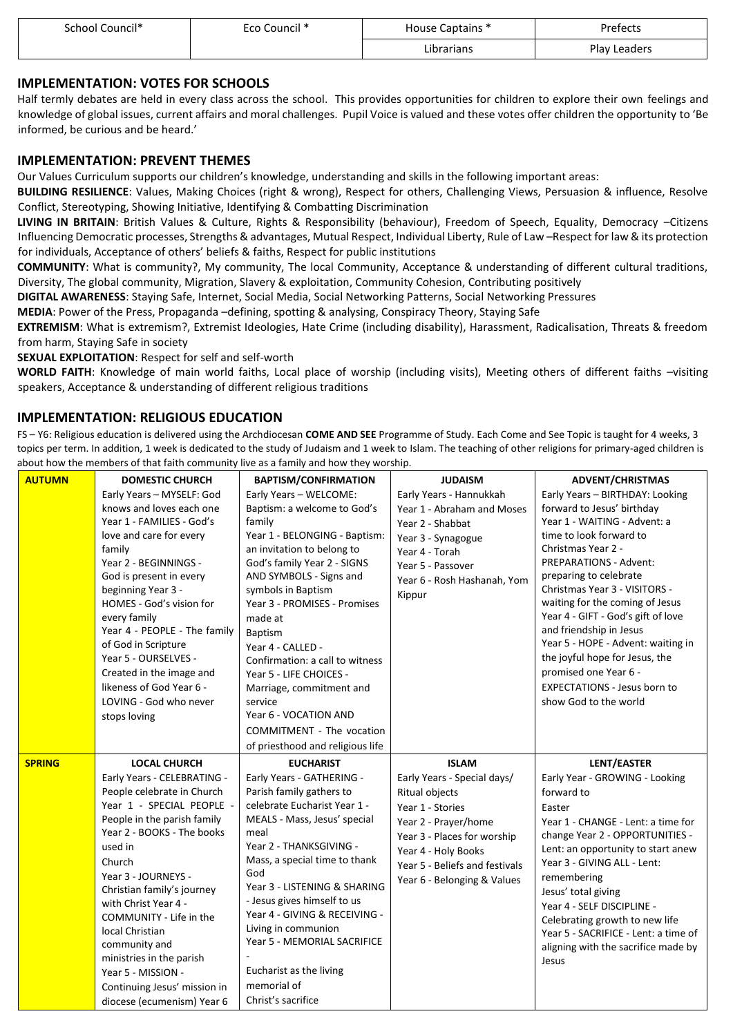| School Council* | Eco Council * | House Captains * | Prefects          |
|-----------------|---------------|------------------|-------------------|
|                 |               | Librarians       | Plav<br>' Leaders |

#### **IMPLEMENTATION: VOTES FOR SCHOOLS**

Half termly debates are held in every class across the school. This provides opportunities for children to explore their own feelings and knowledge of global issues, current affairs and moral challenges. Pupil Voice is valued and these votes offer children the opportunity to 'Be informed, be curious and be heard.'

#### **IMPLEMENTATION: PREVENT THEMES**

Our Values Curriculum supports our children's knowledge, understanding and skills in the following important areas:

**BUILDING RESILIENCE**: Values, Making Choices (right & wrong), Respect for others, Challenging Views, Persuasion & influence, Resolve Conflict, Stereotyping, Showing Initiative, Identifying & Combatting Discrimination

**LIVING IN BRITAIN**: British Values & Culture, Rights & Responsibility (behaviour), Freedom of Speech, Equality, Democracy –Citizens Influencing Democratic processes, Strengths & advantages, Mutual Respect, Individual Liberty, Rule of Law –Respect for law & its protection for individuals, Acceptance of others' beliefs & faiths, Respect for public institutions

**COMMUNITY**: What is community?, My community, The local Community, Acceptance & understanding of different cultural traditions, Diversity, The global community, Migration, Slavery & exploitation, Community Cohesion, Contributing positively

**DIGITAL AWARENESS**: Staying Safe, Internet, Social Media, Social Networking Patterns, Social Networking Pressures

**MEDIA**: Power of the Press, Propaganda –defining, spotting & analysing, Conspiracy Theory, Staying Safe

**EXTREMISM**: What is extremism?, Extremist Ideologies, Hate Crime (including disability), Harassment, Radicalisation, Threats & freedom from harm, Staying Safe in society

**SEXUAL EXPLOITATION**: Respect for self and self-worth

**WORLD FAITH**: Knowledge of main world faiths, Local place of worship (including visits), Meeting others of different faiths –visiting speakers, Acceptance & understanding of different religious traditions

#### **IMPLEMENTATION: RELIGIOUS EDUCATION**

FS – Y6: Religious education is delivered using the Archdiocesan **COME AND SEE** Programme of Study. Each Come and See Topic is taught for 4 weeks, 3 topics per term. In addition, 1 week is dedicated to the study of Judaism and 1 week to Islam. The teaching of other religions for primary-aged children is about how the members of that faith community live as a family and how they worship.

| <b>AUTUMN</b> | <b>DOMESTIC CHURCH</b>                                                                                                                                                                                                                                                                                                                                                                                                                                    | <b>BAPTISM/CONFIRMATION</b>                                                                                                                                                                                                                                                                                                                                                                                                                                                              | <b>JUDAISM</b>                                                                                                                                                                                                                          | <b>ADVENT/CHRISTMAS</b>                                                                                                                                                                                                                                                                                                                                                                                                                                                                                         |
|---------------|-----------------------------------------------------------------------------------------------------------------------------------------------------------------------------------------------------------------------------------------------------------------------------------------------------------------------------------------------------------------------------------------------------------------------------------------------------------|------------------------------------------------------------------------------------------------------------------------------------------------------------------------------------------------------------------------------------------------------------------------------------------------------------------------------------------------------------------------------------------------------------------------------------------------------------------------------------------|-----------------------------------------------------------------------------------------------------------------------------------------------------------------------------------------------------------------------------------------|-----------------------------------------------------------------------------------------------------------------------------------------------------------------------------------------------------------------------------------------------------------------------------------------------------------------------------------------------------------------------------------------------------------------------------------------------------------------------------------------------------------------|
|               | Early Years - MYSELF: God<br>knows and loves each one<br>Year 1 - FAMILIES - God's<br>love and care for every<br>family<br>Year 2 - BEGINNINGS -<br>God is present in every<br>beginning Year 3 -<br>HOMES - God's vision for<br>every family<br>Year 4 - PEOPLE - The family<br>of God in Scripture<br>Year 5 - OURSELVES -<br>Created in the image and<br>likeness of God Year 6 -<br>LOVING - God who never<br>stops loving                            | Early Years - WELCOME:<br>Baptism: a welcome to God's<br>family<br>Year 1 - BELONGING - Baptism:<br>an invitation to belong to<br>God's family Year 2 - SIGNS<br>AND SYMBOLS - Signs and<br>symbols in Baptism<br>Year 3 - PROMISES - Promises<br>made at<br>Baptism<br>Year 4 - CALLED -<br>Confirmation: a call to witness<br>Year 5 - LIFE CHOICES -<br>Marriage, commitment and<br>service<br>Year 6 - VOCATION AND<br>COMMITMENT - The vocation<br>of priesthood and religious life | Early Years - Hannukkah<br>Year 1 - Abraham and Moses<br>Year 2 - Shabbat<br>Year 3 - Synagogue<br>Year 4 - Torah<br>Year 5 - Passover<br>Year 6 - Rosh Hashanah, Yom<br>Kippur                                                         | Early Years - BIRTHDAY: Looking<br>forward to Jesus' birthday<br>Year 1 - WAITING - Advent: a<br>time to look forward to<br>Christmas Year 2 -<br><b>PREPARATIONS - Advent:</b><br>preparing to celebrate<br>Christmas Year 3 - VISITORS -<br>waiting for the coming of Jesus<br>Year 4 - GIFT - God's gift of love<br>and friendship in Jesus<br>Year 5 - HOPE - Advent: waiting in<br>the joyful hope for Jesus, the<br>promised one Year 6 -<br><b>EXPECTATIONS - Jesus born to</b><br>show God to the world |
| <b>SPRING</b> | <b>LOCAL CHURCH</b><br>Early Years - CELEBRATING -<br>People celebrate in Church<br>Year 1 - SPECIAL PEOPLE<br>People in the parish family<br>Year 2 - BOOKS - The books<br>used in<br>Church<br>Year 3 - JOURNEYS -<br>Christian family's journey<br>with Christ Year 4 -<br>COMMUNITY - Life in the<br>local Christian<br>community and<br>ministries in the parish<br>Year 5 - MISSION -<br>Continuing Jesus' mission in<br>diocese (ecumenism) Year 6 | <b>EUCHARIST</b><br>Early Years - GATHERING -<br>Parish family gathers to<br>celebrate Eucharist Year 1 -<br>MEALS - Mass, Jesus' special<br>meal<br>Year 2 - THANKSGIVING -<br>Mass, a special time to thank<br>God<br>Year 3 - LISTENING & SHARING<br>- Jesus gives himself to us<br>Year 4 - GIVING & RECEIVING -<br>Living in communion<br>Year 5 - MEMORIAL SACRIFICE<br>Eucharist as the living<br>memorial of<br>Christ's sacrifice                                               | <b>ISLAM</b><br>Early Years - Special days/<br><b>Ritual objects</b><br>Year 1 - Stories<br>Year 2 - Prayer/home<br>Year 3 - Places for worship<br>Year 4 - Holy Books<br>Year 5 - Beliefs and festivals<br>Year 6 - Belonging & Values | LENT/EASTER<br>Early Year - GROWING - Looking<br>forward to<br>Easter<br>Year 1 - CHANGE - Lent: a time for<br>change Year 2 - OPPORTUNITIES -<br>Lent: an opportunity to start anew<br>Year 3 - GIVING ALL - Lent:<br>remembering<br>Jesus' total giving<br>Year 4 - SELF DISCIPLINE -<br>Celebrating growth to new life<br>Year 5 - SACRIFICE - Lent: a time of<br>aligning with the sacrifice made by<br>Jesus                                                                                               |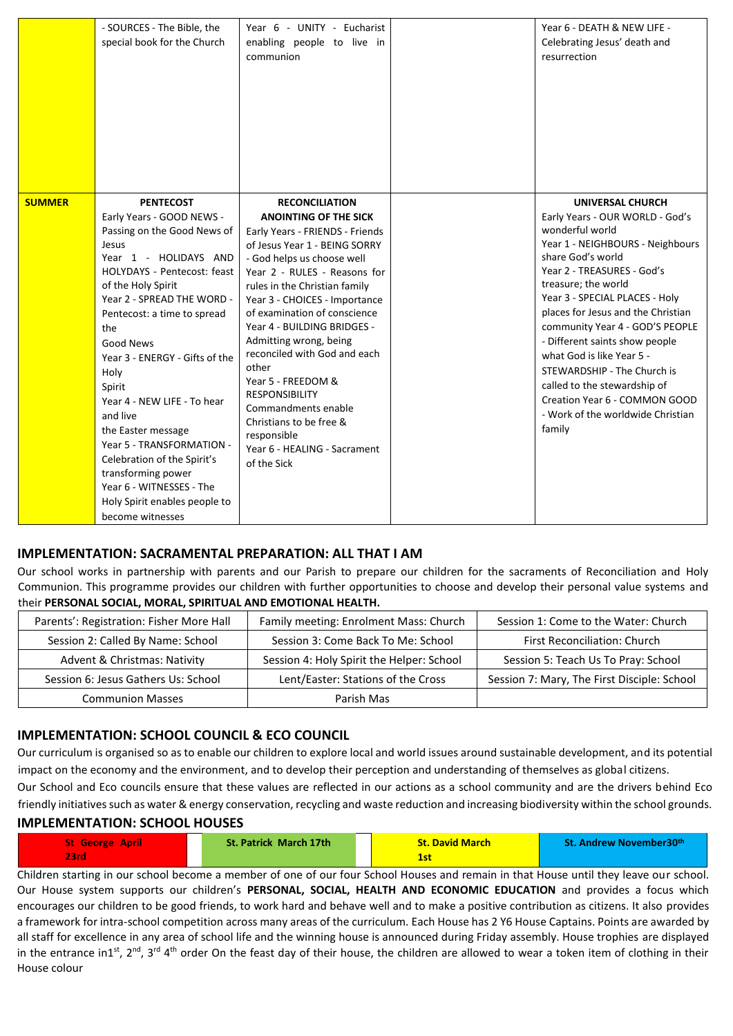|               | - SOURCES - The Bible, the<br>special book for the Church                                                                                                                                                                                                                                                                                                                                                                                                                                                                                    | Year 6 - UNITY - Eucharist<br>enabling people to live in<br>communion                                                                                                                                                                                                                                                                                                                                                                                                                                                                                      | Year 6 - DEATH & NEW LIFE -<br>Celebrating Jesus' death and<br>resurrection                                                                                                                                                                                                                                                                                                                                                                                                                                   |
|---------------|----------------------------------------------------------------------------------------------------------------------------------------------------------------------------------------------------------------------------------------------------------------------------------------------------------------------------------------------------------------------------------------------------------------------------------------------------------------------------------------------------------------------------------------------|------------------------------------------------------------------------------------------------------------------------------------------------------------------------------------------------------------------------------------------------------------------------------------------------------------------------------------------------------------------------------------------------------------------------------------------------------------------------------------------------------------------------------------------------------------|---------------------------------------------------------------------------------------------------------------------------------------------------------------------------------------------------------------------------------------------------------------------------------------------------------------------------------------------------------------------------------------------------------------------------------------------------------------------------------------------------------------|
| <b>SUMMER</b> | <b>PENTECOST</b><br>Early Years - GOOD NEWS -<br>Passing on the Good News of<br>Jesus<br>Year 1 - HOLIDAYS AND<br>HOLYDAYS - Pentecost: feast<br>of the Holy Spirit<br>Year 2 - SPREAD THE WORD -<br>Pentecost: a time to spread<br>the<br>Good News<br>Year 3 - ENERGY - Gifts of the<br>Holy<br>Spirit<br>Year 4 - NEW LIFE - To hear<br>and live<br>the Easter message<br>Year 5 - TRANSFORMATION -<br>Celebration of the Spirit's<br>transforming power<br>Year 6 - WITNESSES - The<br>Holy Spirit enables people to<br>become witnesses | <b>RECONCILIATION</b><br><b>ANOINTING OF THE SICK</b><br>Early Years - FRIENDS - Friends<br>of Jesus Year 1 - BEING SORRY<br>- God helps us choose well<br>Year 2 - RULES - Reasons for<br>rules in the Christian family<br>Year 3 - CHOICES - Importance<br>of examination of conscience<br>Year 4 - BUILDING BRIDGES -<br>Admitting wrong, being<br>reconciled with God and each<br>other<br>Year 5 - FREEDOM &<br><b>RESPONSIBILITY</b><br>Commandments enable<br>Christians to be free &<br>responsible<br>Year 6 - HEALING - Sacrament<br>of the Sick | UNIVERSAL CHURCH<br>Early Years - OUR WORLD - God's<br>wonderful world<br>Year 1 - NEIGHBOURS - Neighbours<br>share God's world<br>Year 2 - TREASURES - God's<br>treasure; the world<br>Year 3 - SPECIAL PLACES - Holy<br>places for Jesus and the Christian<br>community Year 4 - GOD'S PEOPLE<br>- Different saints show people<br>what God is like Year 5 -<br>STEWARDSHIP - The Church is<br>called to the stewardship of<br>Creation Year 6 - COMMON GOOD<br>- Work of the worldwide Christian<br>family |

#### **IMPLEMENTATION: SACRAMENTAL PREPARATION: ALL THAT I AM**

Our school works in partnership with parents and our Parish to prepare our children for the sacraments of Reconciliation and Holy Communion. This programme provides our children with further opportunities to choose and develop their personal value systems and their **PERSONAL SOCIAL, MORAL, SPIRITUAL AND EMOTIONAL HEALTH.**

| Parents': Registration: Fisher More Hall | Family meeting: Enrolment Mass: Church    | Session 1: Come to the Water: Church        |
|------------------------------------------|-------------------------------------------|---------------------------------------------|
| Session 2: Called By Name: School        | Session 3: Come Back To Me: School        | First Reconciliation: Church                |
| Advent & Christmas: Nativity             | Session 4: Holy Spirit the Helper: School | Session 5: Teach Us To Pray: School         |
| Session 6: Jesus Gathers Us: School      | Lent/Easter: Stations of the Cross        | Session 7: Mary, The First Disciple: School |
| <b>Communion Masses</b>                  | Parish Mas                                |                                             |

#### **IMPLEMENTATION: SCHOOL COUNCIL & ECO COUNCIL**

Our curriculum is organised so as to enable our children to explore local and world issues around sustainable development, and its potential impact on the economy and the environment, and to develop their perception and understanding of themselves as global citizens.

Our School and Eco councils ensure that these values are reflected in our actions as a school community and are the drivers behind Eco friendly initiatives such as water & energy conservation, recycling and waste reduction and increasing biodiversity within the school grounds.

#### **IMPLEMENTATION: SCHOOL HOUSES**

| <b>St George April</b><br>23rd | <b>St. Patrick March 17th</b> | <b>St. David March</b><br>-- | <b>St. Andrew November30th</b> |
|--------------------------------|-------------------------------|------------------------------|--------------------------------|
|--------------------------------|-------------------------------|------------------------------|--------------------------------|

Children starting in our school become a member of one of our four School Houses and remain in that House until they leave our school. Our House system supports our children's **PERSONAL, SOCIAL, HEALTH AND ECONOMIC EDUCATION** and provides a focus which encourages our children to be good friends, to work hard and behave well and to make a positive contribution as citizens. It also provides a framework for intra-school competition across many areas of the curriculum. Each House has 2 Y6 House Captains. Points are awarded by all staff for excellence in any area of school life and the winning house is announced during Friday assembly. House trophies are displayed in the entrance in1<sup>st</sup>, 2<sup>nd</sup>, 3<sup>rd</sup> 4<sup>th</sup> order On the feast day of their house, the children are allowed to wear a token item of clothing in their House colour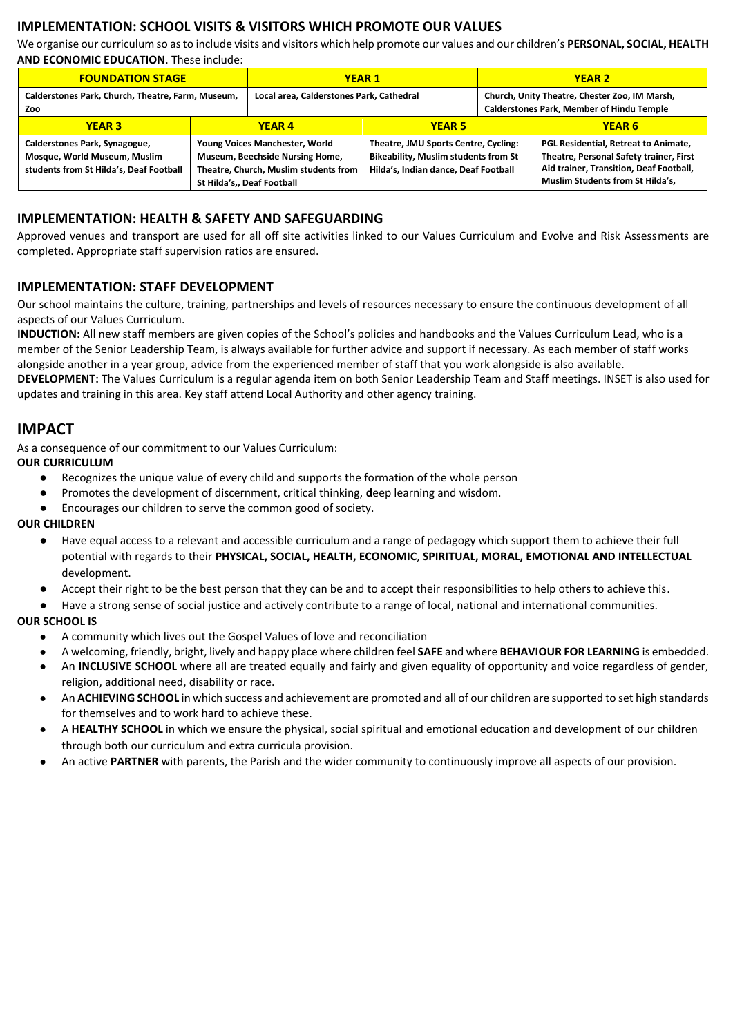#### **IMPLEMENTATION: SCHOOL VISITS & VISITORS WHICH PROMOTE OUR VALUES**

We organise our curriculum so as to include visits and visitors which help promote our values and our children's **PERSONAL, SOCIAL, HEALTH AND ECONOMIC EDUCATION**. These include:

| <b>FOUNDATION STAGE</b>                                                                                  |                                                                                                                                          | <b>YEAR1</b>                             |                                                                                                                             | <b>YEAR 2</b>                                                                                     |                                                                                                                                                                |
|----------------------------------------------------------------------------------------------------------|------------------------------------------------------------------------------------------------------------------------------------------|------------------------------------------|-----------------------------------------------------------------------------------------------------------------------------|---------------------------------------------------------------------------------------------------|----------------------------------------------------------------------------------------------------------------------------------------------------------------|
| Calderstones Park, Church, Theatre, Farm, Museum,<br>Zoo                                                 |                                                                                                                                          | Local area, Calderstones Park, Cathedral |                                                                                                                             | Church, Unity Theatre, Chester Zoo, IM Marsh,<br><b>Calderstones Park, Member of Hindu Temple</b> |                                                                                                                                                                |
| <b>YEAR 3</b>                                                                                            |                                                                                                                                          | <b>YEAR 4</b>                            | <b>YEAR 5</b>                                                                                                               |                                                                                                   | <b>YEAR 6</b>                                                                                                                                                  |
| Calderstones Park, Synagogue,<br>Mosque, World Museum, Muslim<br>students from St Hilda's, Deaf Football | Young Voices Manchester, World<br>Museum, Beechside Nursing Home,<br>Theatre, Church, Muslim students from<br>St Hilda's,, Deaf Football |                                          | Theatre, JMU Sports Centre, Cycling:<br><b>Bikeability, Muslim students from St</b><br>Hilda's, Indian dance, Deaf Football |                                                                                                   | PGL Residential, Retreat to Animate,<br>Theatre, Personal Safety trainer, First<br>Aid trainer, Transition, Deaf Football,<br>Muslim Students from St Hilda's, |

#### **IMPLEMENTATION: HEALTH & SAFETY AND SAFEGUARDING**

Approved venues and transport are used for all off site activities linked to our Values Curriculum and Evolve and Risk Assessments are completed. Appropriate staff supervision ratios are ensured.

#### **IMPLEMENTATION: STAFF DEVELOPMENT**

Our school maintains the culture, training, partnerships and levels of resources necessary to ensure the continuous development of all aspects of our Values Curriculum.

**INDUCTION:** All new staff members are given copies of the School's policies and handbooks and the Values Curriculum Lead, who is a member of the Senior Leadership Team, is always available for further advice and support if necessary. As each member of staff works alongside another in a year group, advice from the experienced member of staff that you work alongside is also available.

**DEVELOPMENT:** The Values Curriculum is a regular agenda item on both Senior Leadership Team and Staff meetings. INSET is also used for updates and training in this area. Key staff attend Local Authority and other agency training.

## **IMPACT**

As a consequence of our commitment to our Values Curriculum:

#### **OUR CURRICULUM**

- Recognizes the unique value of every child and supports the formation of the whole person
- Promotes the development of discernment, critical thinking, **d**eep learning and wisdom.
- Encourages our children to serve the common good of society.

#### **OUR CHILDREN**

- Have equal access to a relevant and accessible curriculum and a range of pedagogy which support them to achieve their full potential with regards to their **PHYSICAL, SOCIAL, HEALTH, ECONOMIC**, **SPIRITUAL, MORAL, EMOTIONAL AND INTELLECTUAL**  development.
- Accept their right to be the best person that they can be and to accept their responsibilities to help others to achieve this.
- Have a strong sense of social justice and actively contribute to a range of local, national and international communities.

#### **OUR SCHOOL IS**

- A community which lives out the Gospel Values of love and reconciliation
- A welcoming, friendly, bright, lively and happy place where children feel **SAFE** and where **BEHAVIOUR FOR LEARNING** is embedded.
- An **INCLUSIVE SCHOOL** where all are treated equally and fairly and given equality of opportunity and voice regardless of gender, religion, additional need, disability or race.
- An **ACHIEVING SCHOOL** in which success and achievement are promoted and all of our children are supported to set high standards for themselves and to work hard to achieve these.
- A HEALTHY SCHOOL in which we ensure the physical, social spiritual and emotional education and development of our children through both our curriculum and extra curricula provision.
- An active **PARTNER** with parents, the Parish and the wider community to continuously improve all aspects of our provision.